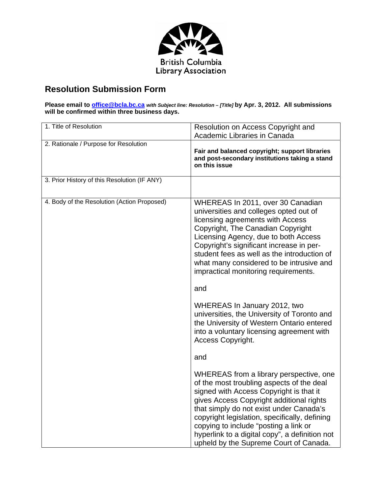

## **Resolution Submission Form**

**Please email to office@bcla.bc.ca** *with Subject line: Resolution – [Title]* **by Apr. 3, 2012. All submissions will be confirmed within three business days.** 

| 1. Title of Resolution                       | Resolution on Access Copyright and<br>Academic Libraries in Canada                                                                                                                                                                                                                                                                                                                                           |
|----------------------------------------------|--------------------------------------------------------------------------------------------------------------------------------------------------------------------------------------------------------------------------------------------------------------------------------------------------------------------------------------------------------------------------------------------------------------|
|                                              |                                                                                                                                                                                                                                                                                                                                                                                                              |
| 2. Rationale / Purpose for Resolution        | Fair and balanced copyright; support libraries<br>and post-secondary institutions taking a stand<br>on this issue                                                                                                                                                                                                                                                                                            |
| 3. Prior History of this Resolution (IF ANY) |                                                                                                                                                                                                                                                                                                                                                                                                              |
| 4. Body of the Resolution (Action Proposed)  | WHEREAS In 2011, over 30 Canadian<br>universities and colleges opted out of<br>licensing agreements with Access<br>Copyright, The Canadian Copyright<br>Licensing Agency, due to both Access<br>Copyright's significant increase in per-<br>student fees as well as the introduction of<br>what many considered to be intrusive and<br>impractical monitoring requirements.<br>and                           |
|                                              | WHEREAS In January 2012, two<br>universities, the University of Toronto and<br>the University of Western Ontario entered<br>into a voluntary licensing agreement with<br><b>Access Copyright.</b>                                                                                                                                                                                                            |
|                                              | and                                                                                                                                                                                                                                                                                                                                                                                                          |
|                                              | WHEREAS from a library perspective, one<br>of the most troubling aspects of the deal<br>signed with Access Copyright is that it<br>gives Access Copyright additional rights<br>that simply do not exist under Canada's<br>copyright legislation, specifically, defining<br>copying to include "posting a link or<br>hyperlink to a digital copy", a definition not<br>upheld by the Supreme Court of Canada. |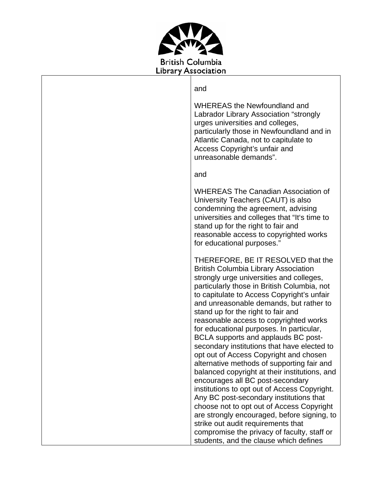

and

WHEREAS the Newfoundland and Labrador Library Association "strongly urges universities and colleges, particularly those in Newfoundland and in Atlantic Canada, not to capitulate to Access Copyright's unfair and unreasonable demands".

and

WHEREAS The Canadian Association of University Teachers (CAUT) is also condemning the agreement, advising universities and colleges that "It's time to stand up for the right to fair and reasonable access to copyrighted works for educational purposes."

THEREFORE, BE IT RESOLVED that the British Columbia Library Association strongly urge universities and colleges, particularly those in British Columbia, not to capitulate to Access Copyright's unfair and unreasonable demands, but rather to stand up for the right to fair and reasonable access to copyrighted works for educational purposes. In particular, BCLA supports and applauds BC postsecondary institutions that have elected to opt out of Access Copyright and chosen alternative methods of supporting fair and balanced copyright at their institutions, and encourages all BC post-secondary institutions to opt out of Access Copyright. Any BC post-secondary institutions that choose not to opt out of Access Copyright are strongly encouraged, before signing, to strike out audit requirements that compromise the privacy of faculty, staff or students, and the clause which defines